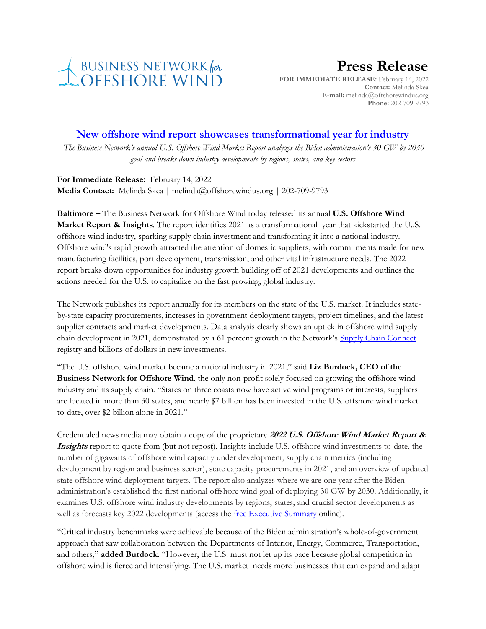

## **Press Release**

**FOR IMMEDIATE RELEASE:** February 14, 2022 **Contact:** Melinda Skea **E-mail:** melinda@offshorewindus.org **Phone:** 202-709-9793

## **[New offshore wind report showcases](https://www.offshorewindus.org/2022/02/14/new-offshore-wind-report-showcases-transformational-year-for-industry/) transformational year for industry**

*The Business Network's annual U.S. Offshore Wind Market Report analyzes the Biden administration's 30 GW by 2030 goal and breaks down industry developments by regions, states, and key sectors*

**For Immediate Release:** February 14, 2022 **Media Contact:** Melinda Skea | melinda@offshorewindus.org | 202-709-9793

**Baltimore –** The Business Network for Offshore Wind today released its annual **U.S. Offshore Wind Market Report & Insights**. The report identifies 2021 as a transformational year that kickstarted the U..S. offshore wind industry, sparking supply chain investment and transforming it into a national industry. Offshore wind's rapid growth attracted the attention of domestic suppliers, with commitments made for new manufacturing facilities, port development, transmission, and other vital infrastructure needs. The 2022 report breaks down opportunities for industry growth building off of 2021 developments and outlines the actions needed for the U.S. to capitalize on the fast growing, global industry.

The Network publishes its report annually for its members on the state of the U.S. market. It includes stateby-state capacity procurements, increases in government deployment targets, project timelines, and the latest supplier contracts and market developments. Data analysis clearly shows an uptick in offshore wind supply chain development in 2021, demonstrated by a 61 percent growth in the Network's [Supply Chain Connect](https://www.offshorewindus.org/supplychain/) registry and billions of dollars in new investments.

"The U.S. offshore wind market became a national industry in 2021," said **Liz Burdock, CEO of the Business Network for Offshore Wind**, the only non-profit solely focused on growing the offshore wind industry and its supply chain. "States on three coasts now have active wind programs or interests, suppliers are located in more than 30 states, and nearly \$7 billion has been invested in the U.S. offshore wind market to-date, over \$2 billion alone in 2021."

Credentialed news media may obtain a copy of the proprietary **2022 U.S. Offshore Wind Market Report & Insights** report to quote from (but not repost). Insights include U.S. offshore wind investments to-date, the number of gigawatts of offshore wind capacity under development, supply chain metrics (including development by region and business sector), state capacity procurements in 2021, and an overview of updated state offshore wind deployment targets. The report also analyzes where we are one year after the Biden administration's established the first national offshore wind goal of deploying 30 GW by 2030. Additionally, it examines U.S. offshore wind industry developments by regions, states, and crucial sector developments as well as forecasts key 2022 developments (access the [free Executive Summary](https://online.flippingbook.com/view/459819768/) online).

"Critical industry benchmarks were achievable because of the Biden administration's whole-of-government approach that saw collaboration between the Departments of Interior, Energy, Commerce, Transportation, and others," **added Burdock.** "However, the U.S. must not let up its pace because global competition in offshore wind is fierce and intensifying. The U.S. market needs more businesses that can expand and adapt